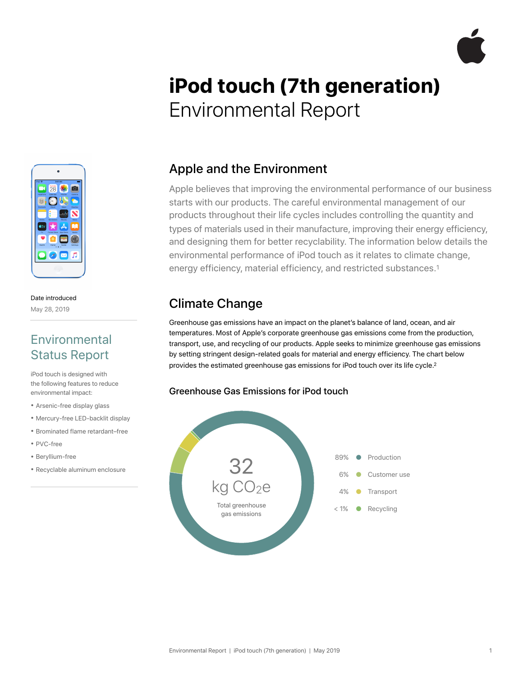

# **iPod touch (7th generation)**  Environmental Report



#### Date introduced May 28, 2019

### **Environmental** Status Report

iPod touch is designed with the following features to reduce environmental impact:

- Arsenic-free display glass
- Mercury-free LED-backlit display
- Brominated flame retardant–free
- PVC-free
- Beryllium-free
- Recyclable aluminum enclosure

### Apple and the Environment

Apple believes that improving the environmental performance of our business starts with our products. The careful environmental management of our products throughout their life cycles includes controlling the quantity and types of materials used in their manufacture, improving their energy efficiency, and designing them for better recyclability. The information below details the environmental performance of iPod touch as it relates to climate change, energy efficiency, material efficiency, and restricted substances.1

### Climate Change

Greenhouse gas emissions have an impact on the planet's balance of land, ocean, and air temperatures. Most of Apple's corporate greenhouse gas emissions come from the production, transport, use, and recycling of our products. Apple seeks to minimize greenhouse gas emissions by setting stringent design-related goals for material and energy efficiency. The chart below provides the estimated greenhouse gas emissions for iPod touch over its life cycle.2

### Greenhouse Gas Emissions for iPod touch

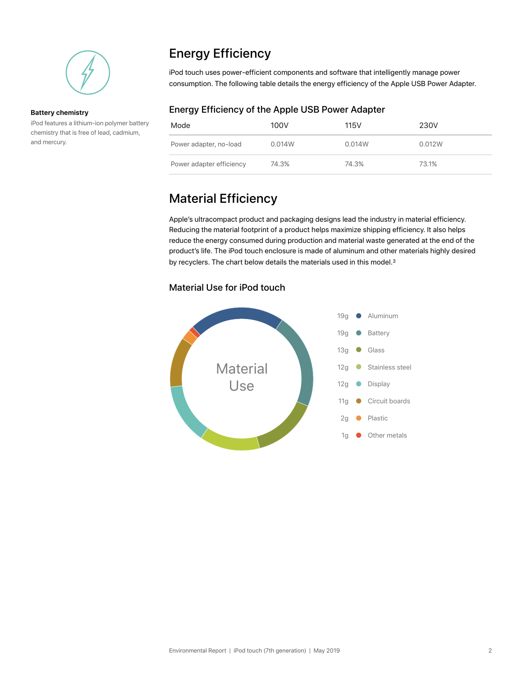

#### **Battery chemistry**

iPod features a lithium-ion polymer battery chemistry that is free of lead, cadmium, and mercury.

# Energy Efficiency

iPod touch uses power-efficient components and software that intelligently manage power consumption. The following table details the energy efficiency of the Apple USB Power Adapter.

### Energy Efficiency of the Apple USB Power Adapter

| Mode                     | 100V   | 115V   | 230V   |
|--------------------------|--------|--------|--------|
| Power adapter, no-load   | 0.014W | 0.014W | 0.012W |
| Power adapter efficiency | 74.3%  | 74.3%  | 73.1%  |

## Material Efficiency

Apple's ultracompact product and packaging designs lead the industry in material efficiency. Reducing the material footprint of a product helps maximize shipping efficiency. It also helps reduce the energy consumed during production and material waste generated at the end of the product's life. The iPod touch enclosure is made of aluminum and other materials highly desired by recyclers. The chart below details the materials used in this model.<sup>3</sup>

### Material Use for iPod touch

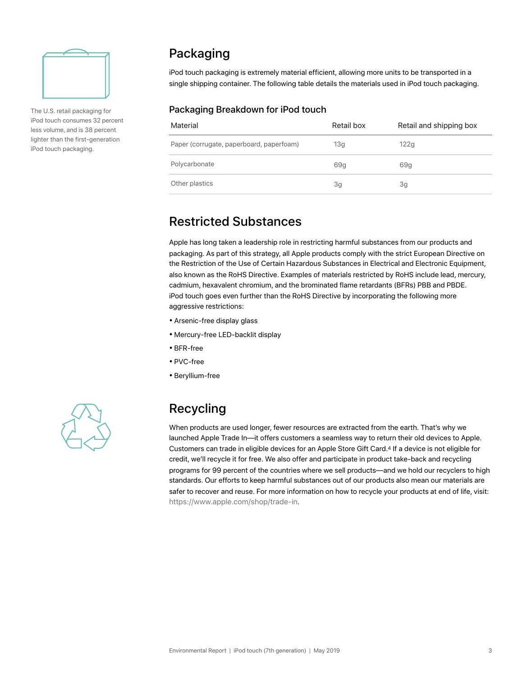

The U.S. retail packaging for iPod touch consumes 32 percent less volume, and is 38 percent lighter than the first-generation iPod touch packaging.

### Packaging

iPod touch packaging is extremely material efficient, allowing more units to be transported in a single shipping container. The following table details the materials used in iPod touch packaging.

#### Packaging Breakdown for iPod touch

| Material                                 | Retail box | Retail and shipping box |
|------------------------------------------|------------|-------------------------|
| Paper (corrugate, paperboard, paperfoam) | 13g        | 122g                    |
| Polycarbonate                            | 69g        | 69g                     |
| Other plastics                           | 3g         | 3g                      |

### Restricted Substances

Apple has long taken a leadership role in restricting harmful substances from our products and packaging. As part of this strategy, all Apple products comply with the strict European Directive on the Restriction of the Use of Certain Hazardous Substances in Electrical and Electronic Equipment, also known as the RoHS Directive. Examples of materials restricted by RoHS include lead, mercury, cadmium, hexavalent chromium, and the brominated flame retardants (BFRs) PBB and PBDE. iPod touch goes even further than the RoHS Directive by incorporating the following more aggressive restrictions:

- Arsenic-free display glass
- Mercury-free LED-backlit display
- BFR-free
- PVC-free
- Beryllium-free



### Recycling

When products are used longer, fewer resources are extracted from the earth. That's why we launched Apple Trade In—it offers customers a seamless way to return their old devices to Apple. Customers can trade in eligible devices for an Apple Store Gift Card.4 If a device is not eligible for credit, we'll recycle it for free. We also offer and participate in product take-back and recycling programs for 99 percent of the countries where we sell products—and we hold our recyclers to high standards. Our efforts to keep harmful substances out of our products also mean our materials are safer to recover and reuse. For more information on how to recycle your products at end of life, visit: [https://www.apple.com/shop/trade-in.](https://www.apple.com/shop/trade-in)